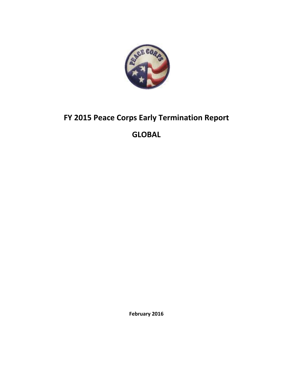

## **FY 2015 Peace Corps Early Termination Report**

## **GLOBAL**

**February 2016**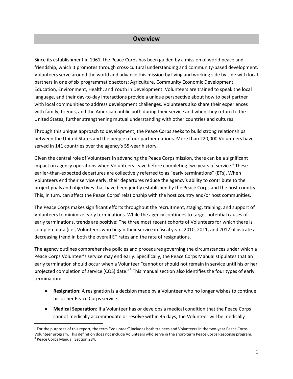#### **Overview**

Since its establishment in 1961, the Peace Corps has been guided by a mission of world peace and friendship, which it promotes through cross-cultural understanding and community-based development. Volunteers serve around the world and advance this mission by living and working side by side with local partners in one of six programmatic sectors: Agriculture, Community Economic Development, Education, Environment, Health, and Youth in Development. Volunteers are trained to speak the local language, and their day-to-day interactions provide a unique perspective about how to best partner with local communities to address development challenges. Volunteers also share their experiences with family, friends, and the American public both during their service and when they return to the United States, further strengthening mutual understanding with other countries and cultures.

Through this unique approach to development, the Peace Corps seeks to build strong relationships between the United States and the people of our partner nations. More than 220,000 Volunteers have served in 141 countries over the agency's 55-year history.

Given the central role of Volunteers in advancing the Peace Corps mission, there can be a significant impact on agency operations when Volunteers leave before completing two years of service.<sup>1</sup> These earlier-than-expected departures are collectively referred to as "early terminations" (ETs). When Volunteers end their service early, their departures reduce the agency's ability to contribute to the project goals and objectives that have been jointly established by the Peace Corps and the host country. This, in turn, can affect the Peace Corps' relationship with the host country and/or host communities.

The Peace Corps makes significant efforts throughout the recruitment, staging, training, and support of Volunteers to minimize early terminations. While the agency continues to target potential causes of early terminations, trends are positive: The three most recent cohorts of Volunteers for which there is complete data (i.e., Volunteers who began their service in fiscal years 2010, 2011, and 2012) illustrate a decreasing trend in both the overall ET rates and the rate of resignations.

The agency outlines comprehensive policies and procedures governing the circumstances under which a Peace Corps Volunteer's service may end early. Specifically, the Peace Corps Manual stipulates that an early termination should occur when a Volunteer "cannot or should not remain in service until his or her projected completion of service (COS) date."<sup>2</sup> This manual section also identifies the four types of early termination:

- **Resignation**: A resignation is a decision made by a Volunteer who no longer wishes to continue his or her Peace Corps service.
- **Medical Separation**: If a Volunteer has or develops a medical condition that the Peace Corps cannot medically accommodate or resolve within 45 days, the Volunteer will be medically

 $\overline{a}$ 

 $1$  For the purposes of this report, the term "Volunteer" includes both trainees and Volunteers in the two-year Peace Corps Volunteer program. This definition does not include Volunteers who serve in the short-term Peace Corps Response program. <sup>2</sup> Peace Corps Manual, Section 284.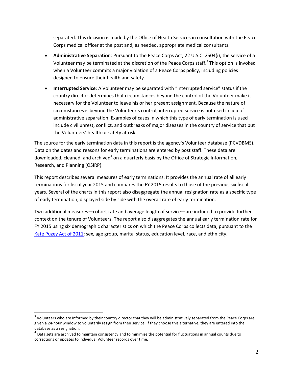separated. This decision is made by the Office of Health Services in consultation with the Peace Corps medical officer at the post and, as needed, appropriate medical consultants.

- **Administrative Separation**: Pursuant to the Peace Corps Act, 22 U.S.C. 2504(i), the service of a Volunteer may be terminated at the discretion of the Peace Corps staff.<sup>3</sup> This option is invoked when a Volunteer commits a major violation of a Peace Corps policy, including policies designed to ensure their health and safety.
- **Interrupted Service**: A Volunteer may be separated with "interrupted service" status if the country director determines that circumstances beyond the control of the Volunteer make it necessary for the Volunteer to leave his or her present assignment. Because the nature of circumstances is beyond the Volunteer's control, interrupted service is not used in lieu of administrative separation. Examples of cases in which this type of early termination is used include civil unrest, conflict, and outbreaks of major diseases in the country of service that put the Volunteers' health or safety at risk.

The source for the early termination data in this report is the agency's Volunteer database (PCVDBMS). Data on the dates and reasons for early terminations are entered by post staff. These data are downloaded, cleaned, and archived<sup>4</sup> on a quarterly basis by the Office of Strategic Information, Research, and Planning (OSIRP).

This report describes several measures of early terminations. It provides the annual rate of all early terminations for fiscal year 2015 and compares the FY 2015 results to those of the previous six fiscal years. Several of the charts in this report also disaggregate the annual resignation rate as a specific type of early termination, displayed side by side with the overall rate of early termination.

Two additional measures—cohort rate and average length of service—are included to provide further context on the tenure of Volunteers. The report also disaggregates the annual early termination rate for FY 2015 using six demographic characteristics on which the Peace Corps collects data, pursuant to the [Kate Puzey Act of 2011:](https://www.gpo.gov/fdsys/pkg/BILLS-112s1280enr/pdf/BILLS-112s1280enr.pdf) sex, age group, marital status, education level, race, and ethnicity.

 $\overline{a}$ 

 $3$  Volunteers who are informed by their country director that they will be administratively separated from the Peace Corps are given a 24-hour window to voluntarily resign from their service. If they choose this alternative, they are entered into the database as a resignation.

 $^4$  Data sets are archived to maintain consistency and to minimize the potential for fluctuations in annual counts due to corrections or updates to individual Volunteer records over time.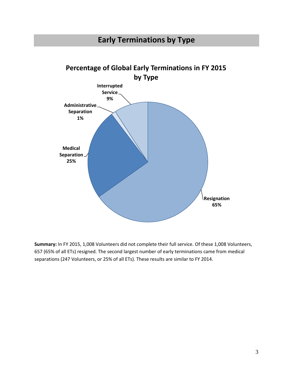## **Early Terminations by Type**



**Summary:** In FY 2015, 1,008 Volunteers did not complete their full service. Of these 1,008 Volunteers, 657 (65% of all ETs) resigned. The second largest number of early terminations came from medical separations (247 Volunteers, or 25% of all ETs). These results are similar to FY 2014.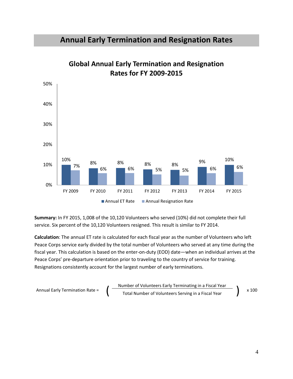#### **Annual Early Termination and Resignation Rates**



**Global Annual Early Termination and Resignation Rates for FY 2009-2015**

**Summary:** In FY 2015, 1,008 of the 10,120 Volunteers who served (10%) did not complete their full service. Six percent of the 10,120 Volunteers resigned. This result is similar to FY 2014.

**Calculation**: The annual ET rate is calculated for each fiscal year as the number of Volunteers who left Peace Corps service early divided by the total number of Volunteers who served at any time during the fiscal year. This calculation is based on the enter-on-duty (EOD) date—when an individual arrives at the Peace Corps' pre-departure orientation prior to traveling to the country of service for training. Resignations consistently account for the largest number of early terminations.

$$
Annual Early Termination Rate = \n\[\n\left(\n\begin{array}{c}\n\text{Number of Volumbers Early Terminating in a Fiscal Year} \\
\text{Total Number of Volumbers Serving in a Fiscal Year}\n\end{array}\n\right)\n\]\n\[\nx\ 100
$$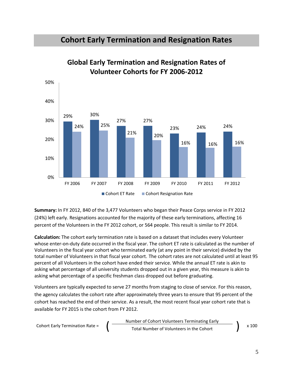#### **Cohort Early Termination and Resignation Rates**



**Global Early Termination and Resignation Rates of Volunteer Cohorts for FY 2006-2012**

**Summary:** In FY 2012, 840 of the 3,477 Volunteers who began their Peace Corps service in FY 2012 (24%) left early. Resignations accounted for the majority of these early terminations, affecting 16 percent of the Volunteers in the FY 2012 cohort, or 564 people. This result is similar to FY 2014.

**Calculation:** The cohort early termination rate is based on a dataset that includes every Volunteer whose enter-on-duty date occurred in the fiscal year. The cohort ET rate is calculated as the number of Volunteers in the fiscal year cohort who terminated early (at any point in their service) divided by the total number of Volunteers in that fiscal year cohort. The cohort rates are not calculated until at least 95 percent of all Volunteers in the cohort have ended their service. While the annual ET rate is akin to asking what percentage of all university students dropped out in a given year, this measure is akin to asking what percentage of a specific freshman class dropped out before graduating.

Volunteers are typically expected to serve 27 months from staging to close of service. For this reason, the agency calculates the cohort rate after approximately three years to ensure that 95 percent of the cohort has reached the end of their service. As a result, the most recent fiscal year cohort rate that is available for FY 2015 is the cohort from FY 2012.

Colort Early Termination Rate =

\n
$$
\left(\begin{array}{c}\n\text{Number of Cohort Volumbers Terminating Early} \\
\text{Total Number of Volumeters in the Cohort}\n\end{array}\right) \times 100
$$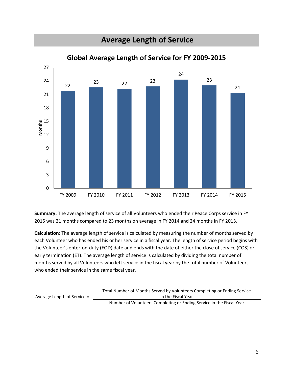

**Summary:** The average length of service of all Volunteers who ended their Peace Corps service in FY 2015 was 21 months compared to 23 months on average in FY 2014 and 24 months in FY 2013.

**Calculation:** The average length of service is calculated by measuring the number of months served by each Volunteer who has ended his or her service in a fiscal year. The length of service period begins with the Volunteer's enter-on-duty (EOD) date and ends with the date of either the close of service (COS) or early termination (ET). The average length of service is calculated by dividing the total number of months served by all Volunteers who left service in the fiscal year by the total number of Volunteers who ended their service in the same fiscal year.

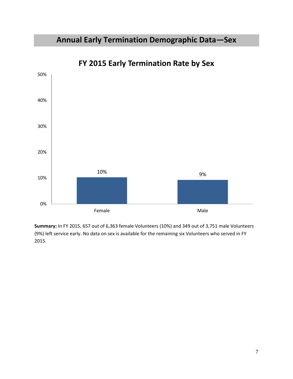## **Annual Early Termination Demographic Data—Sex**



**FY 2015 Early Termination Rate by Sex**

**Summary:** In FY 2015, 657 out of 6,363 female Volunteers (10%) and 349 out of 3,751 male Volunteers (9%) left service early. No data on sex is available for the remaining six Volunteers who served in FY 2015.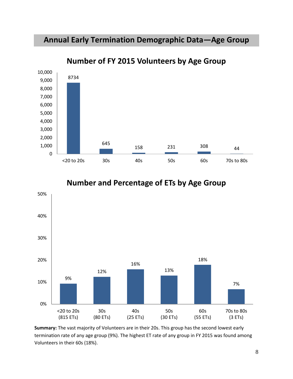#### **Annual Early Termination Demographic Data—Age Group**



**Number of FY 2015 Volunteers by Age Group**





**Summary:** The vast majority of Volunteers are in their 20s. This group has the second lowest early termination rate of any age group (9%). The highest ET rate of any group in FY 2015 was found among Volunteers in their 60s (18%).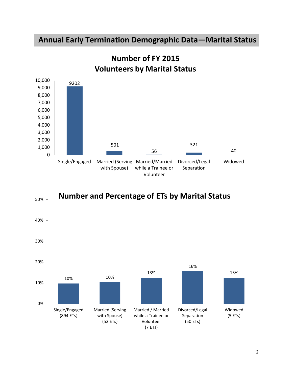### **Annual Early Termination Demographic Data—Marital Status**





# **Number of FY 2015**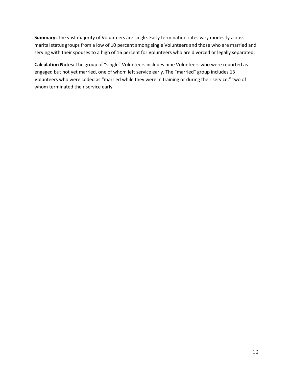**Summary:** The vast majority of Volunteers are single. Early termination rates vary modestly across marital status groups from a low of 10 percent among single Volunteers and those who are married and serving with their spouses to a high of 16 percent for Volunteers who are divorced or legally separated.

**Calculation Notes:** The group of "single" Volunteers includes nine Volunteers who were reported as engaged but not yet married, one of whom left service early. The "married" group includes 13 Volunteers who were coded as "married while they were in training or during their service," two of whom terminated their service early.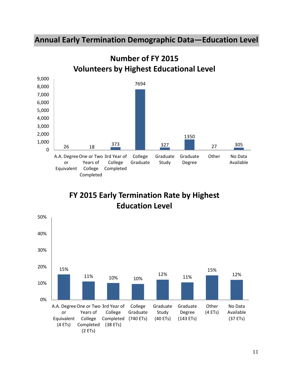#### **Annual Early Termination Demographic Data—Education Level**



**FY 2015 Early Termination Rate by Highest Education Level**



**Number of FY 2015 Volunteers by Highest Educational Level**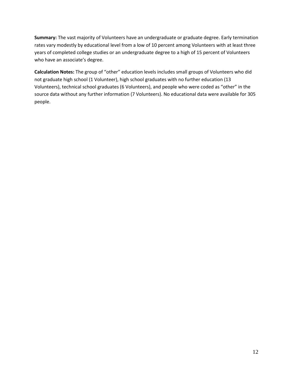**Summary:** The vast majority of Volunteers have an undergraduate or graduate degree. Early termination rates vary modestly by educational level from a low of 10 percent among Volunteers with at least three years of completed college studies or an undergraduate degree to a high of 15 percent of Volunteers who have an associate's degree.

**Calculation Notes:** The group of "other" education levels includes small groups of Volunteers who did not graduate high school (1 Volunteer), high school graduates with no further education (13 Volunteers), technical school graduates (6 Volunteers), and people who were coded as "other" in the source data without any further information (7 Volunteers). No educational data were available for 305 people.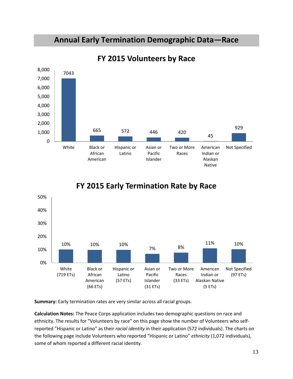#### **Annual Early Termination Demographic Data—Race**



**FY 2015 Volunteers by Race**

#### 10% 10% 10% 7% 8% 11% 10% 0% 10% 20% 30% 40% 50% White (719 ETs) Black or African American (66 ETs) Hispanic or Latino (57 ETs) Asian or Pacific Islander (31 ETs) Two or More Races (33 ETs) American Indian or Alaskan Native (5 ETs) Not Specified (97 ETs)

#### **FY 2015 Early Termination Rate by Race**

**Summary:** Early termination rates are very similar across all racial groups.

**Calculation Notes:** The Peace Corps application includes two demographic questions on race and ethnicity. The results for "Volunteers by race" on this page show the number of Volunteers who selfreported "Hispanic or Latino" as their *racial identity* in their application (572 individuals). The charts on the following page include Volunteers who reported "Hispanic or Latino" *ethnicity* (1,072 individuals), some of whom reported a different racial identity.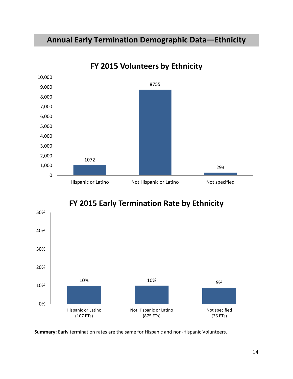## **Annual Early Termination Demographic Data—Ethnicity**



#### **FY 2015 Volunteers by Ethnicity**





**Summary:** Early termination rates are the same for Hispanic and non-Hispanic Volunteers.